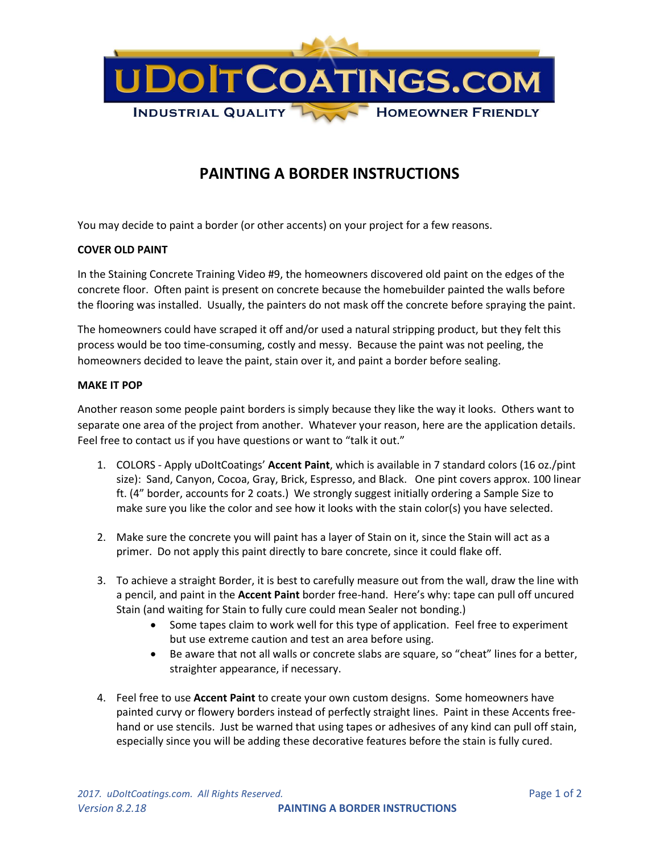

## **PAINTING A BORDER INSTRUCTIONS**

You may decide to paint a border (or other accents) on your project for a few reasons.

## **COVER OLD PAINT**

In the Staining Concrete Training Video #9, the homeowners discovered old paint on the edges of the concrete floor. Often paint is present on concrete because the homebuilder painted the walls before the flooring was installed. Usually, the painters do not mask off the concrete before spraying the paint.

The homeowners could have scraped it off and/or used a natural stripping product, but they felt this process would be too time-consuming, costly and messy. Because the paint was not peeling, the homeowners decided to leave the paint, stain over it, and paint a border before sealing.

## **MAKE IT POP**

Another reason some people paint borders is simply because they like the way it looks. Others want to separate one area of the project from another. Whatever your reason, here are the application details. Feel free to contact us if you have questions or want to "talk it out."

- 1. COLORS Apply uDoItCoatings' **Accent Paint**, which is available in 7 standard colors (16 oz./pint size): Sand, Canyon, Cocoa, Gray, Brick, Espresso, and Black. One pint covers approx. 100 linear ft. (4" border, accounts for 2 coats.) We strongly suggest initially ordering a Sample Size to make sure you like the color and see how it looks with the stain color(s) you have selected.
- 2. Make sure the concrete you will paint has a layer of Stain on it, since the Stain will act as a primer. Do not apply this paint directly to bare concrete, since it could flake off.
- 3. To achieve a straight Border, it is best to carefully measure out from the wall, draw the line with a pencil, and paint in the **Accent Paint** border free-hand. Here's why: tape can pull off uncured Stain (and waiting for Stain to fully cure could mean Sealer not bonding.)
	- Some tapes claim to work well for this type of application. Feel free to experiment but use extreme caution and test an area before using.
	- Be aware that not all walls or concrete slabs are square, so "cheat" lines for a better, straighter appearance, if necessary.
- 4. Feel free to use **Accent Paint** to create your own custom designs. Some homeowners have painted curvy or flowery borders instead of perfectly straight lines. Paint in these Accents freehand or use stencils. Just be warned that using tapes or adhesives of any kind can pull off stain, especially since you will be adding these decorative features before the stain is fully cured.